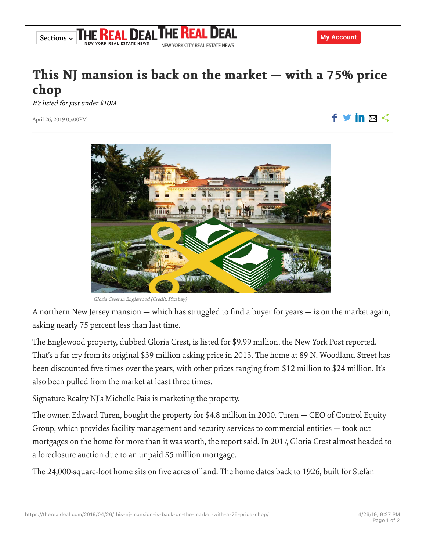## https://therealdeal.com/2019/04/26/this-nj-mansion-is-back-on-the-market-with-a-75-price-chop/ 4/26/19, 9:27 PM

## This NJ mansion is back on the market  $-$  with a 75% price chop

NEW YORK CITY REAL ESTATE NEWS

It's listed for just under \$10M

YORK REAL ESTATE NEWS

April 26, 2019 05:00PM

Gloria Crest in Englewood (Credit: Pixabay)

A northern New Jersey mansion — which has struggled to find a buyer for years — is on the market again, asking nearly 75 percent less than last time.

The Englewood property, dubbed Gloria Crest, is listed for \$9.99 million, the New York Post reported. That's a far cry from its original \$39 million asking price in 2013. The home at 89 N. Woodland Street has been discounted five times over the years, with other prices ranging from \$12 million to \$24 million. It's also been pulled from the market at least three times.

Signature Realty NJ's Michelle Pais is marketing the property.

The owner, Edward Turen, bought the property for \$4.8 million in 2000. Turen — CEO of Control Equity Group, which provides facility management and security services to commercial entities — took out mortgages on the home for more than it was worth, the report said. In 2017, Gloria Crest almost headed to a foreclosure auction due to an unpaid \$5 million mortgage.

The 24,000-square-foot home sits on five acres of land. The home dates back to 1926, built for Stefan



Sections ~ THE REAL DEAL THE REAL D



 $f \vee in \boxtimes \leq$